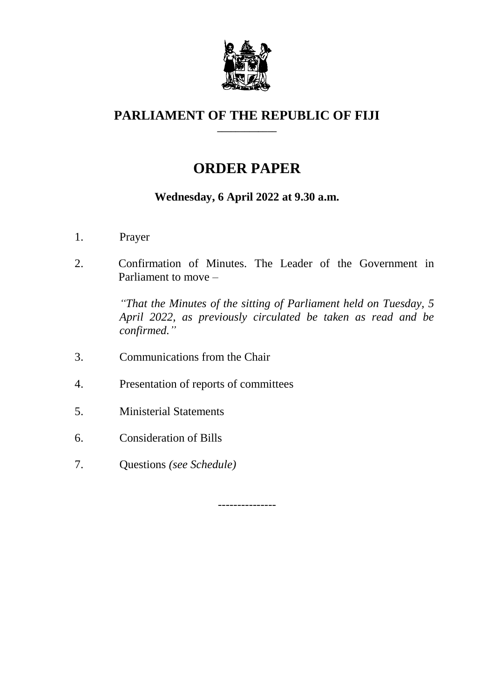

## **PARLIAMENT OF THE REPUBLIC OF FIJI \_\_\_\_\_\_\_\_\_\_\_\_\_**

# **ORDER PAPER**

## **Wednesday, 6 April 2022 at 9.30 a.m.**

- 1. Prayer
- 2. Confirmation of Minutes. The Leader of the Government in Parliament to move –

*"That the Minutes of the sitting of Parliament held on Tuesday, 5 April 2022, as previously circulated be taken as read and be confirmed."*

- 3. Communications from the Chair
- 4. Presentation of reports of committees
- 5. Ministerial Statements
- 6. Consideration of Bills
- 7. Questions *(see Schedule)*

---------------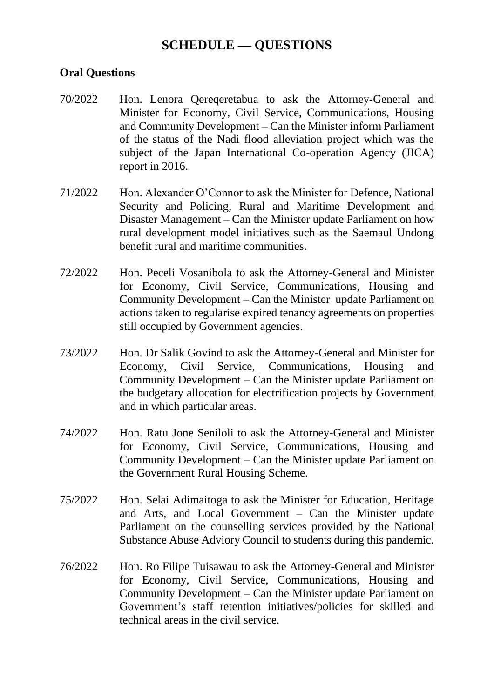## **SCHEDULE — QUESTIONS**

## **Oral Questions**

- 70/2022 Hon. Lenora Qereqeretabua to ask the Attorney-General and Minister for Economy, Civil Service, Communications, Housing and Community Development – Can the Minister inform Parliament of the status of the Nadi flood alleviation project which was the subject of the Japan International Co-operation Agency (JICA) report in 2016.
- 71/2022 Hon. Alexander O'Connor to ask the Minister for Defence, National Security and Policing, Rural and Maritime Development and Disaster Management – Can the Minister update Parliament on how rural development model initiatives such as the Saemaul Undong benefit rural and maritime communities.
- 72/2022 Hon. Peceli Vosanibola to ask the Attorney-General and Minister for Economy, Civil Service, Communications, Housing and Community Development – Can the Minister update Parliament on actions taken to regularise expired tenancy agreements on properties still occupied by Government agencies.
- 73/2022 Hon. Dr Salik Govind to ask the Attorney-General and Minister for Economy, Civil Service, Communications, Housing and Community Development – Can the Minister update Parliament on the budgetary allocation for electrification projects by Government and in which particular areas.
- 74/2022 Hon. Ratu Jone Seniloli to ask the Attorney-General and Minister for Economy, Civil Service, Communications, Housing and Community Development – Can the Minister update Parliament on the Government Rural Housing Scheme.
- 75/2022 Hon. Selai Adimaitoga to ask the Minister for Education, Heritage and Arts, and Local Government – Can the Minister update Parliament on the counselling services provided by the National Substance Abuse Adviory Council to students during this pandemic.
- 76/2022 Hon. Ro Filipe Tuisawau to ask the Attorney-General and Minister for Economy, Civil Service, Communications, Housing and Community Development – Can the Minister update Parliament on Government's staff retention initiatives/policies for skilled and technical areas in the civil service.